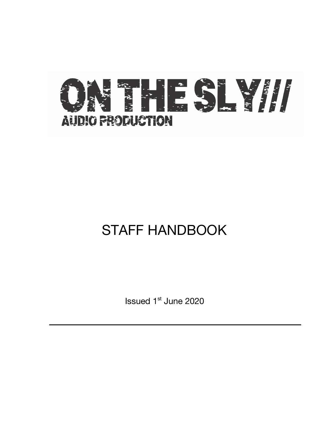

# STAFF HANDBOOK

Issued 1st June 2020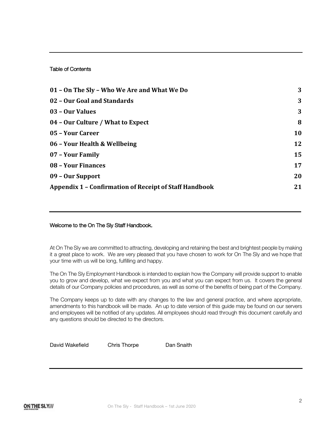# Table of Contents

| 01 - On The Sly - Who We Are and What We Do                   | 3  |
|---------------------------------------------------------------|----|
| 02 - Our Goal and Standards                                   | 3  |
| 03 - Our Values                                               | 3  |
| 04 - Our Culture / What to Expect                             | 8  |
| 05 - Your Career                                              | 10 |
| 06 - Your Health & Wellbeing                                  | 12 |
| 07 - Your Family                                              | 15 |
| 08 - Your Finances                                            | 17 |
| 09 - Our Support                                              | 20 |
| <b>Appendix 1 - Confirmation of Receipt of Staff Handbook</b> | 21 |

# Welcome to the On The Sly Staff Handbook.

At On The Sly we are committed to attracting, developing and retaining the best and brightest people by making it a great place to work. We are very pleased that you have chosen to work for On The Sly and we hope that your time with us will be long, fulfilling and happy.

The On The Sly Employment Handbook is intended to explain how the Company will provide support to enable you to grow and develop, what we expect from you and what you can expect from us. It covers the general details of our Company policies and procedures, as well as some of the benefits of being part of the Company.

The Company keeps up to date with any changes to the law and general practice, and where appropriate, amendments to this handbook will be made. An up to date version of this guide may be found on our servers and employees will be notified of any updates. All employees should read through this document carefully and any questions should be directed to the directors.

David Wakefield Chris Thorpe Dan Snaith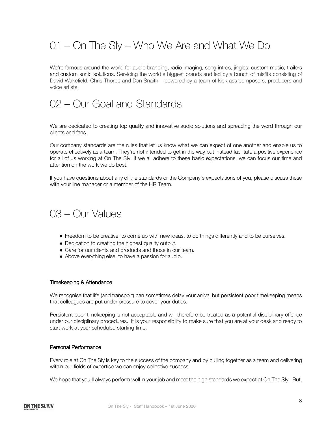# 01 – On The Sly – Who We Are and What We Do

We're famous around the world for audio branding, radio imaging, song intros, jingles, custom music, trailers and custom sonic solutions. Servicing the world's biggest brands and led by a bunch of misfits consisting of David Wakefield, Chris Thorpe and Dan Snaith – powered by a team of kick ass composers, producers and voice artists.

# 02 – Our Goal and Standards

We are dedicated to creating top quality and innovative audio solutions and spreading the word through our clients and fans.

Our company standards are the rules that let us know what we can expect of one another and enable us to operate effectively as a team. They're not intended to get in the way but instead facilitate a positive experience for all of us working at On The Sly. If we all adhere to these basic expectations, we can focus our time and attention on the work we do best.

If you have questions about any of the standards or the Company's expectations of you, please discuss these with your line manager or a member of the HR Team.

# 03 – Our Values

- Freedom to be creative, to come up with new ideas, to do things differently and to be ourselves.
- Dedication to creating the highest quality output.
- Care for our clients and products and those in our team.
- Above everything else, to have a passion for audio.

#### Timekeeping & Attendance

We recognise that life (and transport) can sometimes delay your arrival but persistent poor timekeeping means that colleagues are put under pressure to cover your duties.

Persistent poor timekeeping is not acceptable and will therefore be treated as a potential disciplinary offence under our disciplinary procedures. It is your responsibility to make sure that you are at your desk and ready to start work at your scheduled starting time.

#### Personal Performance

Every role at On The Sly is key to the success of the company and by pulling together as a team and delivering within our fields of expertise we can enjoy collective success.

We hope that you'll always perform well in your job and meet the high standards we expect at On The Sly. But,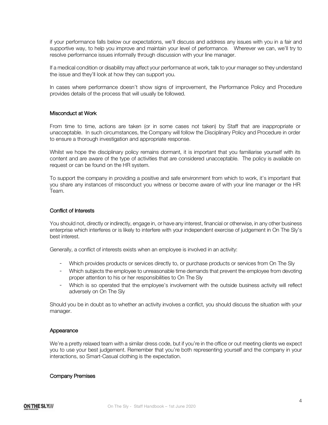if your performance falls below our expectations, we'll discuss and address any issues with you in a fair and supportive way, to help you improve and maintain your level of performance. Wherever we can, we'll try to resolve performance issues informally through discussion with your line manager.

If a medical condition or disability may affect your performance at work, talk to your manager so they understand the issue and they'll look at how they can support you.

In cases where performance doesn't show signs of improvement, the Performance Policy and Procedure provides details of the process that will usually be followed.

### Misconduct at Work

From time to time, actions are taken (or in some cases not taken) by Staff that are inappropriate or unacceptable. In such circumstances, the Company will follow the Disciplinary Policy and Procedure in order to ensure a thorough investigation and appropriate response.

Whilst we hope the disciplinary policy remains dormant, it is important that you familiarise yourself with its content and are aware of the type of activities that are considered unacceptable. The policy is available on request or can be found on the HR system.

To support the company in providing a positive and safe environment from which to work, it's important that you share any instances of misconduct you witness or become aware of with your line manager or the HR Team.

### Conflict of Interests

You should not, directly or indirectly, engage in, or have any interest, financial or otherwise, in any other business enterprise which interferes or is likely to interfere with your independent exercise of judgement in On The Sly's best interest.

Generally, a conflict of interests exists when an employee is involved in an activity:

- Which provides products or services directly to, or purchase products or services from On The Sly
- Which subjects the employee to unreasonable time demands that prevent the employee from devoting proper attention to his or her responsibilities to On The Sly
- Which is so operated that the employee's involvement with the outside business activity will reflect adversely on On The Sly

Should you be in doubt as to whether an activity involves a conflict, you should discuss the situation with your manager.

#### Appearance

We're a pretty relaxed team with a similar dress code, but if you're in the office or out meeting clients we expect you to use your best judgement. Remember that you're both representing yourself and the company in your interactions, so Smart-Casual clothing is the expectation.

#### Company Premises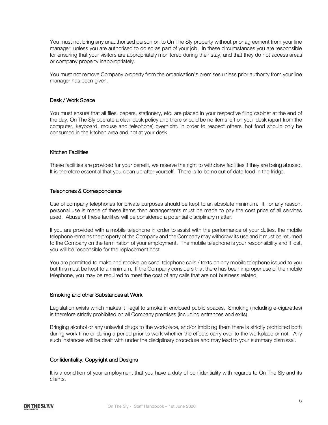You must not bring any unauthorised person on to On The Sly property without prior agreement from your line manager, unless you are authorised to do so as part of your job. In these circumstances you are responsible for ensuring that your visitors are appropriately monitored during their stay, and that they do not access areas or company property inappropriately.

You must not remove Company property from the organisation's premises unless prior authority from your line manager has been given.

# Desk / Work Space

You must ensure that all files, papers, stationery, etc. are placed in your respective filing cabinet at the end of the day. On The Sly operate a clear desk policy and there should be no items left on your desk (apart from the computer, keyboard, mouse and telephone) overnight. In order to respect others, hot food should only be consumed in the kitchen area and not at your desk.

# Kitchen Facilities

These facilities are provided for your benefit, we reserve the right to withdraw facilities if they are being abused. It is therefore essential that you clean up after yourself. There is to be no out of date food in the fridge.

# Telephones & Correspondence

Use of company telephones for private purposes should be kept to an absolute minimum. If, for any reason, personal use is made of these items then arrangements must be made to pay the cost price of all services used. Abuse of these facilities will be considered a potential disciplinary matter.

If you are provided with a mobile telephone in order to assist with the performance of your duties, the mobile telephone remains the property of the Company and the Company may withdraw its use and it must be returned to the Company on the termination of your employment. The mobile telephone is your responsibility and if lost, you will be responsible for the replacement cost.

You are permitted to make and receive personal telephone calls / texts on any mobile telephone issued to you but this must be kept to a minimum. If the Company considers that there has been improper use of the mobile telephone, you may be required to meet the cost of any calls that are not business related.

### Smoking and other Substances at Work

Legislation exists which makes it illegal to smoke in enclosed public spaces. Smoking (including e-cigarettes) is therefore strictly prohibited on all Company premises (including entrances and exits).

Bringing alcohol or any unlawful drugs to the workplace, and/or imbibing them there is strictly prohibited both during work time or during a period prior to work whether the effects carry over to the workplace or not. Any such instances will be dealt with under the disciplinary procedure and may lead to your summary dismissal.

### Confidentiality, Copyright and Designs

It is a condition of your employment that you have a duty of confidentiality with regards to On The Sly and its clients.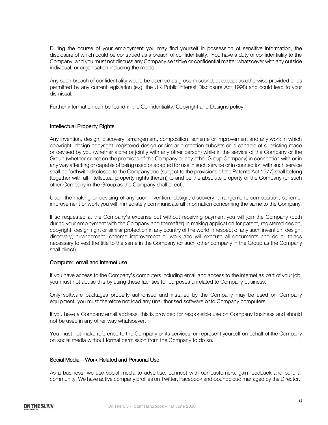During the course of your employment you may find yourself in possession of sensitive information, the disclosure of which could be construed as a breach of confidentiality. You have a duty of confidentiality to the Company, and you must not discuss any Company sensitive or confidential matter whatsoever with any outside individual, or organisation including the media.

Any such breach of confidentiality would be deemed as gross misconduct except as otherwise provided or as permitted by any current legislation (e.g. the UK Public Interest Disclosure Act 1998) and could lead to your dismissal.

Further information can be found in the Confidentiality, Copyright and Designs policy.

# Intellectual Property Rights

Any invention, design, discovery, arrangement, composition, scheme or improvement and any work in which copyright, design copyright, registered design or similar protection subsists or is capable of subsisting made or devised by you (whether alone or jointly with any other person) while in the service of the Company or the Group (whether or not on the premises of the Company or any other Group Company) in connection with or in any way affecting or capable of being used or adapted for use in such service or in connection with such service shall be forthwith disclosed to the Company and (subject to the provisions of the Patents Act 1977) shall belong (together with all intellectual property rights therein) to and be the absolute property of the Company (or such other Company in the Group as the Company shall direct).

Upon the making or devising of any such invention, design, discovery, arrangement, composition, scheme, improvement or work you will immediately communicate all information concerning the same to the Company.

If so requested at the Company's expense but without receiving payment you will join the Company (both during your employment with the Company and thereafter) in making application for patent, registered design, copyright, design right or similar protection in any country of the world in respect of any such invention, design, discovery, arrangement, scheme improvement or work and will execute all documents and do all things necessary to vest the title to the same in the Company (or such other company in the Group as the Company shall direct).

# Computer, email and Internet use

If you have access to the Company's computers including email and access to the internet as part of your job, you must not abuse this by using these facilities for purposes unrelated to Company business.

Only software packages properly authorised and installed by the Company may be used on Company equipment, you must therefore not load any unauthorised software onto Company computers.

If you have a Company email address, this is provided for responsible use on Company business and should not be used in any other way whatsoever.

You must not make reference to the Company or its services, or represent yourself on behalf of the Company on social media without formal permission from the Company to do so.

# Social Media – Work-Related and Personal Use

As a business, we use social media to advertise, connect with our customers, gain feedback and build a community. We have active company profiles on Twitter, Facebook and Soundcloud managed by the Director.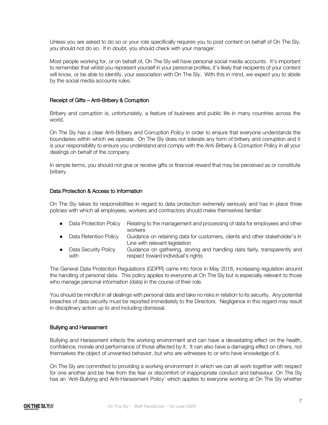Unless you are asked to do so or your role specifically requires you to post content on behalf of On The Sly, you should not do so. If in doubt, you should check with your manager.

Most people working for, or on behalf of, On The Sly will have personal social media accounts. It's important to remember that whilst you represent yourself in your personal profiles, it's likely that recipients of your content will know, or be able to identify, your association with On The Sly. With this in mind, we expect you to abide by the social media accounts rules.

# Receipt of Gifts – Anti-Bribery & Corruption

Bribery and corruption is, unfortunately, a feature of business and public life in many countries across the world.

On The Sly has a clear Anti-Bribery and Corruption Policy in order to ensure that everyone understands the boundaries within which we operate. On The Sly does not tolerate any form of bribery and corruption and it is your responsibility to ensure you understand and comply with the Anti-Bribery & Corruption Policy in all your dealings on behalf of the company.

In simple terms, you should not give or receive gifts or financial reward that may be perceived as or constitute bribery.

# Data Protection & Access to Information

On The Sly takes its responsibilities in regard to data protection extremely seriously and has in place three policies with which all employees, workers and contractors should make themselves familiar:

- Data Protection Policy Relating to the management and processing of data for employees and other workers
- Data Retention Policy Guidance on retaining data for customers, clients and other stakeholder's in Line with relevant legislation
- Data Security Policy Guidance on gathering, storing and handling data fairly, transparently and with **respect toward individual's rights**

The General Data Protection Regulations (GDPR) came into force in May 2018, increasing regulation around the handling of personal data. This policy applies to everyone at On The Sly but is especially relevant to those who manage personal information (data) in the course of their role.

You should be mindful in all dealings with personal data and take no risks in relation to its security. Any potential breaches of data security must be reported immediately to the Directors. Negligence in this regard may result in disciplinary action up to and including dismissal.

# Bullying and Harassment

Bullying and Harassment infects the working environment and can have a devastating effect on the health, confidence, morale and performance of those affected by it. It can also have a damaging effect on others, not themselves the object of unwanted behavior, but who are witnesses to or who have knowledge of it.

On The Sly are committed to providing a working environment in which we can all work together with respect for one another and be free from the fear or discomfort of inappropriate conduct and behaviour. On The Sly has an 'Anti-Bullying and Anti-Harassment Policy' which applies to everyone working at On The Sly whether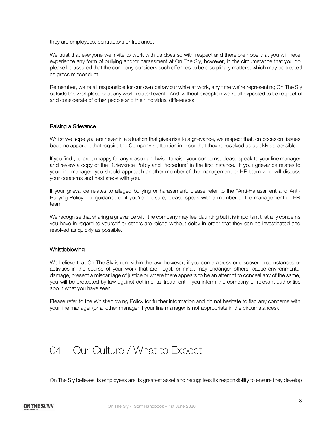they are employees, contractors or freelance.

We trust that everyone we invite to work with us does so with respect and therefore hope that you will never experience any form of bullying and/or harassment at On The Sly, however, in the circumstance that you do, please be assured that the company considers such offences to be disciplinary matters, which may be treated as gross misconduct.

Remember, we're all responsible for our own behaviour while at work, any time we're representing On The Sly outside the workplace or at any work-related event. And, without exception we're all expected to be respectful and considerate of other people and their individual differences.

### Raising a Grievance

Whilst we hope you are never in a situation that gives rise to a grievance, we respect that, on occasion, issues become apparent that require the Company's attention in order that they're resolved as quickly as possible.

If you find you are unhappy for any reason and wish to raise your concerns, please speak to your line manager and review a copy of the "Grievance Policy and Procedure" in the first instance. If your grievance relates to your line manager, you should approach another member of the management or HR team who will discuss your concerns and next steps with you.

If your grievance relates to alleged bullying or harassment, please refer to the "Anti-Harassment and Anti-Bullying Policy" for guidance or if you're not sure, please speak with a member of the management or HR team.

We recognise that sharing a grievance with the company may feel daunting but it is important that any concerns you have in regard to yourself or others are raised without delay in order that they can be investigated and resolved as quickly as possible.

### Whistleblowing

We believe that On The Sly is run within the law, however, if you come across or discover circumstances or activities in the course of your work that are illegal, criminal, may endanger others, cause environmental damage, present a miscarriage of justice or where there appears to be an attempt to conceal any of the same, you will be protected by law against detrimental treatment if you inform the company or relevant authorities about what you have seen.

Please refer to the Whistleblowing Policy for further information and do not hesitate to flag any concerns with your line manager (or another manager if your line manager is not appropriate in the circumstances).

# 04 – Our Culture / What to Expect

On The Sly believes its employees are its greatest asset and recognises its responsibility to ensure they develop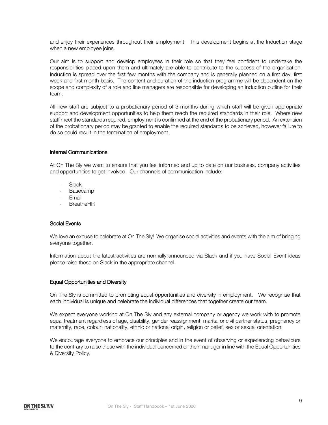and enjoy their experiences throughout their employment. This development begins at the Induction stage when a new employee joins.

Our aim is to support and develop employees in their role so that they feel confident to undertake the responsibilities placed upon them and ultimately are able to contribute to the success of the organisation. Induction is spread over the first few months with the company and is generally planned on a first day, first week and first month basis. The content and duration of the induction programme will be dependent on the scope and complexity of a role and line managers are responsible for developing an induction outline for their team.

All new staff are subject to a probationary period of 3-months during which staff will be given appropriate support and development opportunities to help them reach the required standards in their role. Where new staff meet the standards required, employment is confirmed at the end of the probationary period. An extension of the probationary period may be granted to enable the required standards to be achieved, however failure to do so could result in the termination of employment.

# Internal Communications

At On The Sly we want to ensure that you feel informed and up to date on our business, company activities and opportunities to get involved. Our channels of communication include:

- Slack
- Basecamp
- Email
- BreatheHR

### Social Events

We love an excuse to celebrate at On The Sly! We organise social activities and events with the aim of bringing everyone together.

Information about the latest activities are normally announced via Slack and if you have Social Event ideas please raise these on Slack in the appropriate channel.

### Equal Opportunities and Diversity

On The Sly is committed to promoting equal opportunities and diversity in employment. We recognise that each individual is unique and celebrate the individual differences that together create our team.

We expect everyone working at On The Sly and any external company or agency we work with to promote equal treatment regardless of age, disability, gender reassignment, marital or civil partner status, pregnancy or maternity, race, colour, nationality, ethnic or national origin, religion or belief, sex or sexual orientation.

We encourage everyone to embrace our principles and in the event of observing or experiencing behaviours to the contrary to raise these with the individual concerned or their manager in line with the Equal Opportunities & Diversity Policy.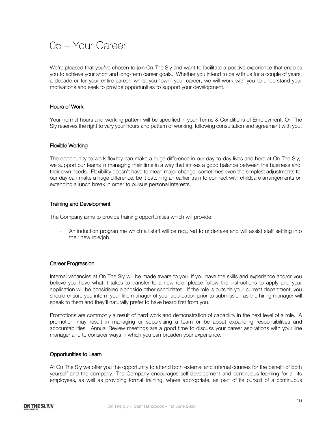# 05 – Your Career

We're pleased that you've chosen to join On The Sly and want to facilitate a positive experience that enables you to achieve your short and long-term career goals. Whether you intend to be with us for a couple of years, a decade or for your entire career, whilst you 'own' your career, we will work with you to understand your motivations and seek to provide opportunities to support your development.

# Hours of Work

Your normal hours and working pattern will be specified in your Terms & Conditions of Employment. On The Sly reserves the right to vary your hours and pattern of working, following consultation and agreement with you.

### Flexible Working

The opportunity to work flexibly can make a huge difference in our day-to-day lives and here at On The Sly, we support our teams in managing their time in a way that strikes a good balance between the business and their own needs. Flexibility doesn't have to mean major change; sometimes even the simplest adjustments to our day can make a huge difference, be it catching an earlier train to connect with childcare arrangements or extending a lunch break in order to pursue personal interests.

# Training and Development

The Company aims to provide training opportunities which will provide:

- An induction programme which all staff will be required to undertake and will assist staff settling into their new role/job

### Career Progression

Internal vacancies at On The Sly will be made aware to you. If you have the skills and experience and/or you believe you have what it takes to transfer to a new role, please follow the instructions to apply and your application will be considered alongside other candidates. If the role is outside your current department, you should ensure you inform your line manager of your application prior to submission as the hiring manager will speak to them and they'll naturally prefer to have heard first from you.

Promotions are commonly a result of hard work and demonstration of capability in the next level of a role. A promotion may result in managing or supervising a team or be about expanding responsibilities and accountabilities. Annual Review meetings are a good time to discuss your career aspirations with your line manager and to consider ways in which you can broaden your experience.

### Opportunities to Learn

At On The Sly we offer you the opportunity to attend both external and internal courses for the benefit of both yourself and the company. The Company encourages self-development and continuous learning for all its employees, as well as providing formal training, where appropriate, as part of its pursuit of a continuous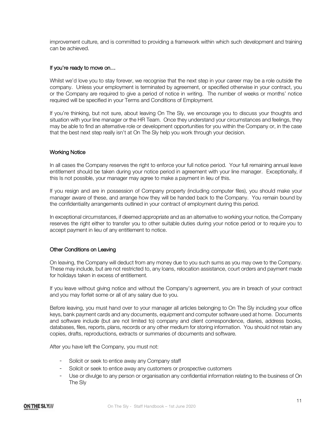improvement culture, and is committed to providing a framework within which such development and training can be achieved.

### If you're ready to move on…

Whilst we'd love you to stay forever, we recognise that the next step in your career may be a role outside the company. Unless your employment is terminated by agreement, or specified otherwise in your contract, you or the Company are required to give a period of notice in writing. The number of weeks or months' notice required will be specified in your Terms and Conditions of Employment.

If you're thinking, but not sure, about leaving On The Sly, we encourage you to discuss your thoughts and situation with your line manager or the HR Team. Once they understand your circumstances and feelings, they may be able to find an alternative role or development opportunities for you within the Company or, in the case that the best next step really isn't at On The Sly help you work through your decision.

# Working Notice

In all cases the Company reserves the right to enforce your full notice period. Your full remaining annual leave entitlement should be taken during your notice period in agreement with your line manager. Exceptionally, if this Is not possible, your manager may agree to make a payment in lieu of this.

If you resign and are in possession of Company property (including computer files), you should make your manager aware of these, and arrange how they will be handed back to the Company. You remain bound by the confidentiality arrangements outlined in your contract of employment during this period.

In exceptional circumstances, if deemed appropriate and as an alternative to working your notice, the Company reserves the right either to transfer you to other suitable duties during your notice period or to require you to accept payment in lieu of any entitlement to notice.

### Other Conditions on Leaving

On leaving, the Company will deduct from any money due to you such sums as you may owe to the Company. These may include, but are not restricted to, any loans, relocation assistance, court orders and payment made for holidays taken in excess of entitlement.

If you leave without giving notice and without the Company's agreement, you are in breach of your contract and you may forfeit some or all of any salary due to you.

Before leaving, you must hand over to your manager all articles belonging to On The Sly including your office keys, bank payment cards and any documents, equipment and computer software used at home. Documents and software include (but are not limited to) company and client correspondence, diaries, address books, databases, files, reports, plans, records or any other medium for storing information. You should not retain any copies, drafts, reproductions, extracts or summaries of documents and software.

After you have left the Company, you must not:

- Solicit or seek to entice away any Company staff
- Solicit or seek to entice away any customers or prospective customers
- Use or divulge to any person or organisation any confidential information relating to the business of On The Sly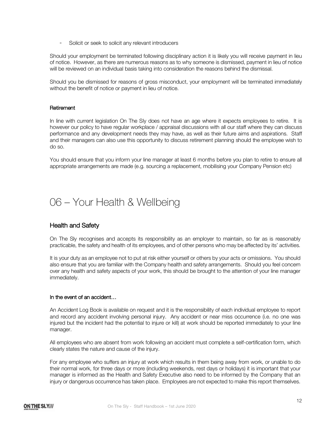- Solicit or seek to solicit any relevant introducers

Should your employment be terminated following disciplinary action it is likely you will receive payment in lieu of notice. However, as there are numerous reasons as to why someone is dismissed, payment in lieu of notice will be reviewed on an individual basis taking into consideration the reasons behind the dismissal.

Should you be dismissed for reasons of gross misconduct, your employment will be terminated immediately without the benefit of notice or payment in lieu of notice.

# Retirement

In line with current legislation On The Sly does not have an age where it expects employees to retire. It is however our policy to have regular workplace / appraisal discussions with all our staff where they can discuss performance and any development needs they may have, as well as their future aims and aspirations. Staff and their managers can also use this opportunity to discuss retirement planning should the employee wish to do so.

You should ensure that you inform your line manager at least 6 months before you plan to retire to ensure all appropriate arrangements are made (e.g. sourcing a replacement, mobilising your Company Pension etc)

# 06 – Your Health & Wellbeing

# Health and Safety

On The Sly recognises and accepts its responsibility as an employer to maintain, so far as is reasonably practicable, the safety and health of its employees, and of other persons who may be affected by its' activities.

It is your duty as an employee not to put at risk either yourself or others by your acts or omissions. You should also ensure that you are familiar with the Company health and safety arrangements. Should you feel concern over any health and safety aspects of your work, this should be brought to the attention of your line manager immediately.

### In the event of an accident…

An Accident Log Book is available on request and it is the responsibility of each individual employee to report and record any accident involving personal injury. Any accident or near miss occurrence (i.e. no one was injured but the incident had the potential to injure or kill) at work should be reported immediately to your line manager.

All employees who are absent from work following an accident must complete a self-certification form, which clearly states the nature and cause of the injury.

For any employee who suffers an injury at work which results in them being away from work, or unable to do their normal work, for three days or more (including weekends, rest days or holidays) it is important that your manager is informed as the Health and Safety Executive also need to be informed by the Company that an injury or dangerous occurrence has taken place. Employees are not expected to make this report themselves.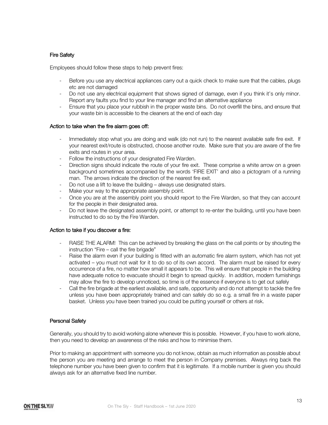# Fire Safety

Employees should follow these steps to help prevent fires:

- Before you use any electrical appliances carry out a quick check to make sure that the cables, plugs etc are not damaged
- Do not use any electrical equipment that shows signed of damage, even if you think it's only minor. Report any faults you find to your line manager and find an alternative appliance
- Ensure that you place your rubbish in the proper waste bins. Do not overfill the bins, and ensure that your waste bin is accessible to the cleaners at the end of each day

### Action to take when the fire alarm goes off:

- Immediately stop what you are doing and walk (do not run) to the nearest available safe fire exit. If your nearest exit/route is obstructed, choose another route. Make sure that you are aware of the fire exits and routes in your area.
- Follow the instructions of your designated Fire Warden.
- Direction signs should indicate the route of your fire exit. These comprise a white arrow on a green background sometimes accompanied by the words 'FIRE EXIT' and also a pictogram of a running man. The arrows indicate the direction of the nearest fire exit.
- Do not use a lift to leave the building always use designated stairs.
- Make your way to the appropriate assembly point.
- Once you are at the assembly point you should report to the Fire Warden, so that they can account for the people in their designated area.
- Do not leave the designated assembly point, or attempt to re-enter the building, until you have been instructed to do so by the Fire Warden.

### Action to take if you discover a fire:

- RAISE THE ALARM! This can be achieved by breaking the glass on the call points or by shouting the instruction "Fire – call the fire brigade"
- Raise the alarm even if your building is fitted with an automatic fire alarm system, which has not yet activated – you must not wait for it to do so of its own accord. The alarm must be raised for every occurrence of a fire, no matter how small it appears to be. This will ensure that people in the building have adequate notice to evacuate should it begin to spread quickly. In addition, modern furnishings may allow the fire to develop unnoticed, so time is of the essence if everyone is to get out safely
- Call the fire brigade at the earliest available, and safe, opportunity and do not attempt to tackle the fire unless you have been appropriately trained and can safely do so e.g. a small fire in a waste paper basket. Unless you have been trained you could be putting yourself or others at risk.

### Personal Safety

Generally, you should try to avoid working alone whenever this is possible. However, if you have to work alone, then you need to develop an awareness of the risks and how to minimise them.

Prior to making an appointment with someone you do not know, obtain as much information as possible about the person you are meeting and arrange to meet the person in Company premises. Always ring back the telephone number you have been given to confirm that it is legitimate. If a mobile number is given you should always ask for an alternative fixed line number.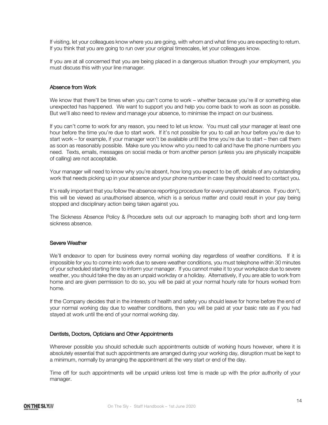If visiting, let your colleagues know where you are going, with whom and what time you are expecting to return. If you think that you are going to run over your original timescales, let your colleagues know.

If you are at all concerned that you are being placed in a dangerous situation through your employment, you must discuss this with your line manager.

# Absence from Work

We know that there'll be times when you can't come to work – whether because you're ill or something else unexpected has happened. We want to support you and help you come back to work as soon as possible. But we'll also need to review and manage your absence, to minimise the impact on our business.

If you can't come to work for any reason, you need to let us know. You must call your manager at least one hour before the time you're due to start work. If it's not possible for you to call an hour before you're due to start work – for example, if your manager won't be available until the time you're due to start – then call them as soon as reasonably possible. Make sure you know who you need to call and have the phone numbers you need. Texts, emails, messages on social media or from another person (unless you are physically incapable of calling) are not acceptable.

Your manager will need to know why you're absent, how long you expect to be off, details of any outstanding work that needs picking up in your absence and your phone number in case they should need to contact you.

It's really important that you follow the absence reporting procedure for every unplanned absence. If you don't, this will be viewed as unauthorised absence, which is a serious matter and could result in your pay being stopped and disciplinary action being taken against you.

The Sickness Absence Policy & Procedure sets out our approach to managing both short and long-term sickness absence.

### Severe Weather

We'll endeavor to open for business every normal working day regardless of weather conditions. If it is impossible for you to come into work due to severe weather conditions, you must telephone within 30 minutes of your scheduled starting time to inform your manager. If you cannot make it to your workplace due to severe weather, you should take the day as an unpaid workday or a holiday. Alternatively, if you are able to work from home and are given permission to do so, you will be paid at your normal hourly rate for hours worked from home.

If the Company decides that in the interests of health and safety you should leave for home before the end of your normal working day due to weather conditions, then you will be paid at your basic rate as if you had stayed at work until the end of your normal working day.

### Dentists, Doctors, Opticians and Other Appointments

Wherever possible you should schedule such appointments outside of working hours however, where it is absolutely essential that such appointments are arranged during your working day, disruption must be kept to a minimum, normally by arranging the appointment at the very start or end of the day.

Time off for such appointments will be unpaid unless lost time is made up with the prior authority of your manager.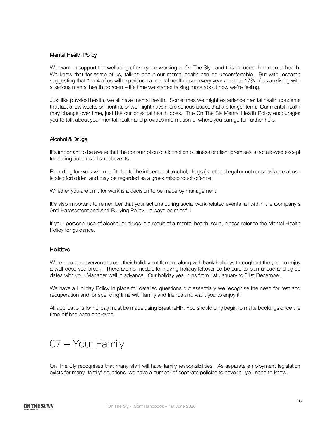### Mental Health Policy

We want to support the wellbeing of everyone working at On The Sly, and this includes their mental health. We know that for some of us, talking about our mental health can be uncomfortable. But with research suggesting that 1 in 4 of us will experience a mental health issue every year and that 17% of us are living with a serious mental health concern – it's time we started talking more about how we're feeling.

Just like physical health, we all have mental health. Sometimes we might experience mental health concerns that last a few weeks or months, or we might have more serious issues that are longer term. Our mental health may change over time, just like our physical health does. The On The Sly Mental Health Policy encourages you to talk about your mental health and provides information of where you can go for further help.

# Alcohol & Drugs

It's important to be aware that the consumption of alcohol on business or client premises is not allowed except for during authorised social events.

Reporting for work when unfit due to the influence of alcohol, drugs (whether illegal or not) or substance abuse is also forbidden and may be regarded as a gross misconduct offence.

Whether you are unfit for work is a decision to be made by management.

It's also important to remember that your actions during social work-related events fall within the Company's Anti-Harassment and Anti-Bullying Policy – always be mindful.

If your personal use of alcohol or drugs is a result of a mental health issue, please refer to the Mental Health Policy for guidance.

### **Holidays**

We encourage everyone to use their holiday entitlement along with bank holidays throughout the year to enjoy a well-deserved break. There are no medals for having holiday leftover so be sure to plan ahead and agree dates with your Manager well in advance. Our holiday year runs from 1st January to 31st December.

We have a Holiday Policy in place for detailed questions but essentially we recognise the need for rest and recuperation and for spending time with family and friends and want you to enjoy it!

All applications for holiday must be made using BreatheHR. You should only begin to make bookings once the time-off has been approved.

# 07 – Your Family

On The Sly recognises that many staff will have family responsibilities. As separate employment legislation exists for many 'family' situations, we have a number of separate policies to cover all you need to know.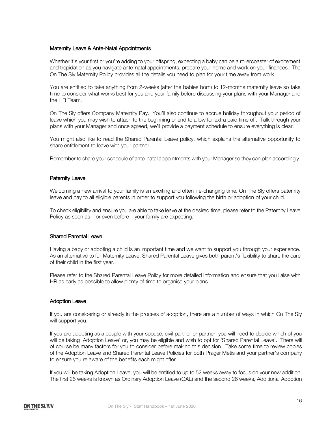### Maternity Leave & Ante-Natal Appointments

Whether it's your first or you're adding to your offspring, expecting a baby can be a rollercoaster of excitement and trepidation as you navigate ante-natal appointments, prepare your home and work on your finances. The On The Sly Maternity Policy provides all the details you need to plan for your time away from work.

You are entitled to take anything from 2-weeks (after the babies born) to 12-months maternity leave so take time to consider what works best for you and your family before discussing your plans with your Manager and the HR Team.

On The Sly offers Company Maternity Pay. You'll also continue to accrue holiday throughout your period of leave which you may wish to attach to the beginning or end to allow for extra paid time off. Talk through your plans with your Manager and once agreed, we'll provide a payment schedule to ensure everything is clear.

You might also like to read the Shared Parental Leave policy, which explains the alternative opportunity to share entitlement to leave with your partner.

Remember to share your schedule of ante-natal appointments with your Manager so they can plan accordingly.

### Paternity Leave

Welcoming a new arrival to your family is an exciting and often life-changing time. On The Sly offers paternity leave and pay to all eligible parents in order to support you following the birth or adoption of your child.

To check eligibility and ensure you are able to take leave at the desired time, please refer to the Paternity Leave Policy as soon as – or even before – your family are expecting.

### Shared Parental Leave

Having a baby or adopting a child is an important time and we want to support you through your experience. As an alternative to full Maternity Leave, Shared Parental Leave gives both parent's flexibility to share the care of their child in the first year.

Please refer to the Shared Parental Leave Policy for more detailed information and ensure that you liaise with HR as early as possible to allow plenty of time to organise your plans.

# Adoption Leave

If you are considering or already in the process of adoption, there are a number of ways in which On The Sly will support you.

If you are adopting as a couple with your spouse, civil partner or partner, you will need to decide which of you will be taking 'Adoption Leave' or, you may be eligible and wish to opt for 'Shared Parental Leave'. There will of course be many factors for you to consider before making this decision. Take some time to review copies of the Adoption Leave and Shared Parental Leave Policies for both Prager Metis and your partner's company to ensure you're aware of the benefits each might offer.

If you will be taking Adoption Leave, you will be entitled to up to 52 weeks away to focus on your new addition. The first 26 weeks is known as Ordinary Adoption Leave (OAL) and the second 26 weeks, Additional Adoption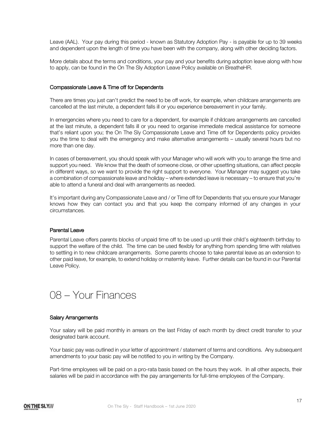Leave (AAL). Your pay during this period - known as Statutory Adoption Pay - is payable for up to 39 weeks and dependent upon the length of time you have been with the company, along with other deciding factors.

More details about the terms and conditions, your pay and your benefits during adoption leave along with how to apply, can be found in the On The Sly Adoption Leave Policy available on BreatheHR.

### Compassionate Leave & Time off for Dependents

There are times you just can't predict the need to be off work, for example, when childcare arrangements are cancelled at the last minute, a dependent falls ill or you experience bereavement in your family.

In emergencies where you need to care for a dependent, for example if childcare arrangements are cancelled at the last minute, a dependent falls ill or you need to organise immediate medical assistance for someone that's reliant upon you; the On The Sly Compassionate Leave and Time off for Dependents policy provides you the time to deal with the emergency and make alternative arrangements – usually several hours but no more than one day.

In cases of bereavement, you should speak with your Manager who will work with you to arrange the time and support you need. We know that the death of someone close, or other upsetting situations, can affect people in different ways, so we want to provide the right support to everyone. Your Manager may suggest you take a combination of compassionate leave and holiday – where extended leave is necessary – to ensure that you're able to attend a funeral and deal with arrangements as needed.

It's important during any Compassionate Leave and / or Time off for Dependents that you ensure your Manager knows how they can contact you and that you keep the company informed of any changes in your circumstances.

# Parental Leave

Parental Leave offers parents blocks of unpaid time off to be used up until their child's eighteenth birthday to support the welfare of the child. The time can be used flexibly for anything from spending time with relatives to settling in to new childcare arrangements. Some parents choose to take parental leave as an extension to other paid leave, for example, to extend holiday or maternity leave. Further details can be found in our Parental Leave Policy.



### Salary Arrangements

Your salary will be paid monthly in arrears on the last Friday of each month by direct credit transfer to your designated bank account.

Your basic pay was outlined in your letter of appointment / statement of terms and conditions. Any subsequent amendments to your basic pay will be notified to you in writing by the Company.

Part-time employees will be paid on a pro-rata basis based on the hours they work. In all other aspects, their salaries will be paid in accordance with the pay arrangements for full-time employees of the Company.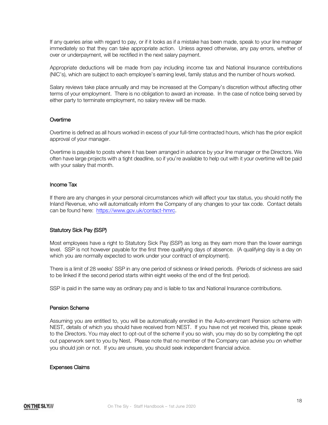If any queries arise with regard to pay, or if it looks as if a mistake has been made, speak to your line manager immediately so that they can take appropriate action. Unless agreed otherwise, any pay errors, whether of over or underpayment, will be rectified in the next salary payment.

Appropriate deductions will be made from pay including income tax and National Insurance contributions (NIC's), which are subject to each employee's earning level, family status and the number of hours worked.

Salary reviews take place annually and may be increased at the Company's discretion without affecting other terms of your employment. There is no obligation to award an increase. In the case of notice being served by either party to terminate employment, no salary review will be made.

# **Overtime**

Overtime is defined as all hours worked in excess of your full-time contracted hours, which has the prior explicit approval of your manager.

Overtime is payable to posts where it has been arranged in advance by your line manager or the Directors. We often have large projects with a tight deadline, so if you're available to help out with it your overtime will be paid with your salary that month.

# Income Tax

If there are any changes in your personal circumstances which will affect your tax status, you should notify the Inland Revenue, who will automatically inform the Company of any changes to your tax code. Contact details can be found here: https://www.gov.uk/contact-hmrc.

# Statutory Sick Pay (SSP)

Most employees have a right to Statutory Sick Pay (SSP) as long as they earn more than the lower earnings level. SSP is not however payable for the first three qualifying days of absence. (A qualifying day is a day on which you are normally expected to work under your contract of employment).

There is a limit of 28 weeks' SSP in any one period of sickness or linked periods. (Periods of sickness are said to be linked if the second period starts within eight weeks of the end of the first period).

SSP is paid in the same way as ordinary pay and is liable to tax and National Insurance contributions.

### Pension Scheme

Assuming you are entitled to, you will be automatically enrolled in the Auto-enrolment Pension scheme with NEST, details of which you should have received from NEST. If you have not yet received this, please speak to the Directors. You may elect to opt-out of the scheme if you so wish, you may do so by completing the opt out paperwork sent to you by Nest. Please note that no member of the Company can advise you on whether you should join or not. If you are unsure, you should seek independent financial advice.

#### Expenses Claims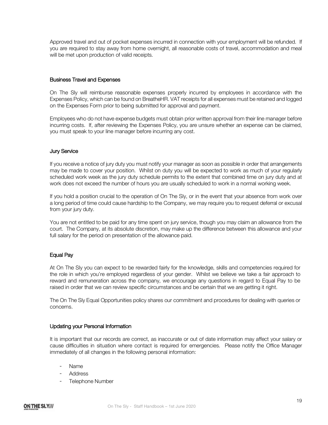Approved travel and out of pocket expenses incurred in connection with your employment will be refunded. If you are required to stay away from home overnight, all reasonable costs of travel, accommodation and meal will be met upon production of valid receipts.

# Business Travel and Expenses

On The Sly will reimburse reasonable expenses properly incurred by employees in accordance with the Expenses Policy, which can be found on BreatheHR. VAT receipts for all expenses must be retained and logged on the Expenses Form prior to being submitted for approval and payment.

Employees who do not have expense budgets must obtain prior written approval from their line manager before incurring costs. If, after reviewing the Expenses Policy, you are unsure whether an expense can be claimed, you must speak to your line manager before incurring any cost.

# Jury Service

If you receive a notice of jury duty you must notify your manager as soon as possible in order that arrangements may be made to cover your position. Whilst on duty you will be expected to work as much of your regularly scheduled work week as the jury duty schedule permits to the extent that combined time on jury duty and at work does not exceed the number of hours you are usually scheduled to work in a normal working week.

If you hold a position crucial to the operation of On The Sly, or in the event that your absence from work over a long period of time could cause hardship to the Company, we may require you to request deferral or excusal from your jury duty.

You are not entitled to be paid for any time spent on jury service, though you may claim an allowance from the court. The Company, at its absolute discretion, may make up the difference between this allowance and your full salary for the period on presentation of the allowance paid.

### Equal Pay

At On The Sly you can expect to be rewarded fairly for the knowledge, skills and competencies required for the role in which you're employed regardless of your gender. Whilst we believe we take a fair approach to reward and remuneration across the company, we encourage any questions in regard to Equal Pay to be raised in order that we can review specific circumstances and be certain that we are getting it right.

The On The Sly Equal Opportunities policy shares our commitment and procedures for dealing with queries or concerns.

### Updating your Personal Information

It is important that our records are correct, as inaccurate or out of date information may affect your salary or cause difficulties in situation where contact is required for emergencies. Please notify the Office Manager immediately of all changes in the following personal information:

- Name
- **Address**
- Telephone Number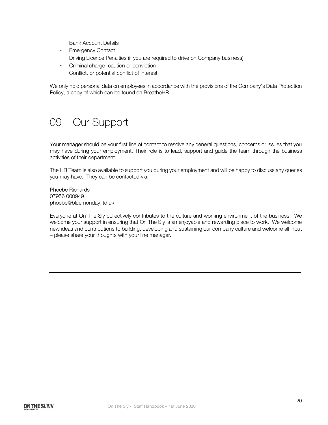- Bank Account Details
- Emergency Contact
- Driving Licence Penalties (if you are required to drive on Company business)
- Criminal charge, caution or conviction
- Conflict, or potential conflict of interest

We only hold personal data on employees in accordance with the provisions of the Company's Data Protection Policy, a copy of which can be found on BreatheHR.

# 09 – Our Support

Your manager should be your first line of contact to resolve any general questions, concerns or issues that you may have during your employment. Their role is to lead, support and guide the team through the business activities of their department.

The HR Team is also available to support you during your employment and will be happy to discuss any queries you may have. They can be contacted via:

Phoebe Richards 07956 000949 phoebe@bluemonday.ltd.uk

Everyone at On The Sly collectively contributes to the culture and working environment of the business. We welcome your support in ensuring that On The Sly is an enjoyable and rewarding place to work. We welcome new ideas and contributions to building, developing and sustaining our company culture and welcome all input – please share your thoughts with your line manager.